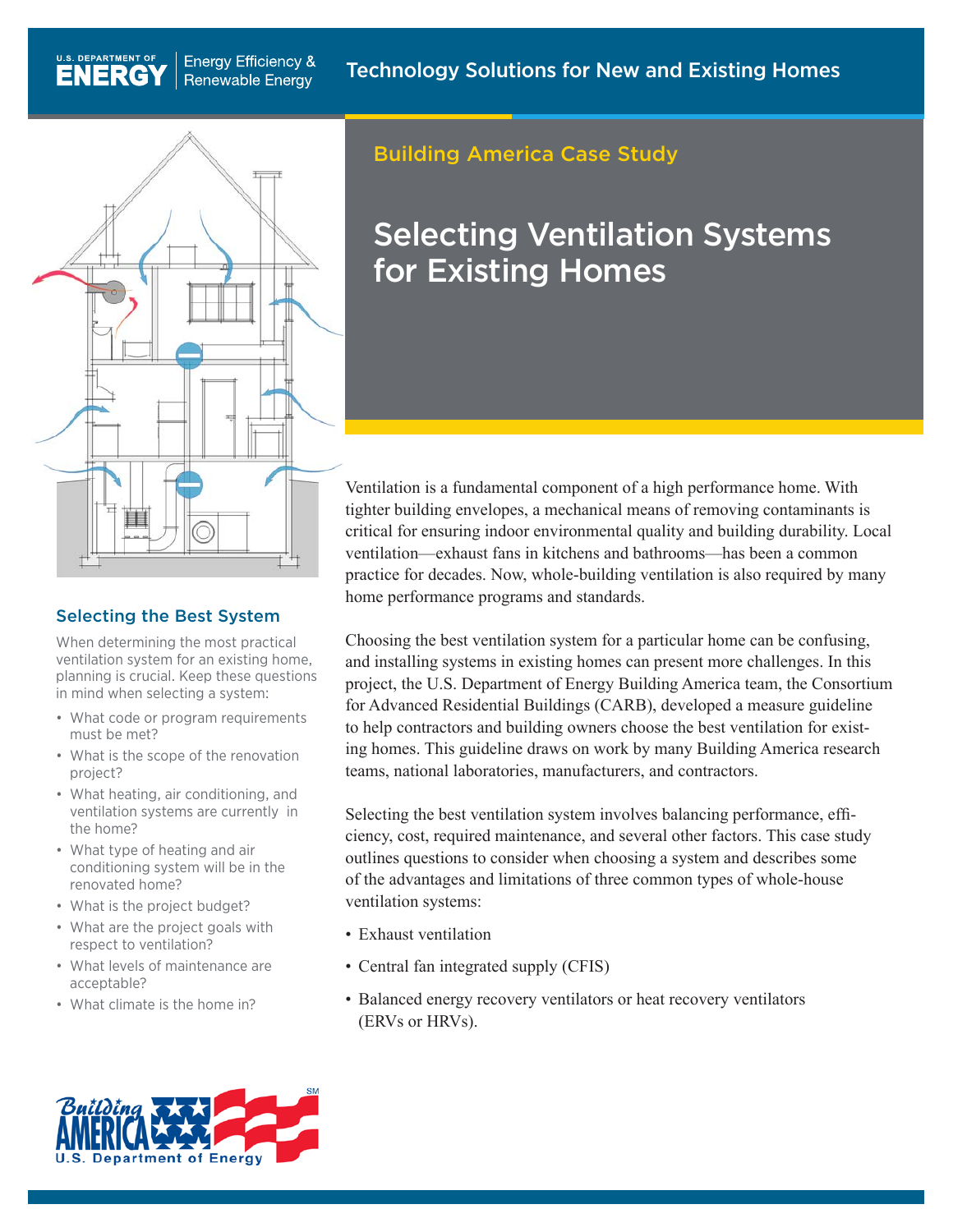

**Energy Efficiency &** 

**Renewable Energy** 

U.S. DEPARTMENT OF

**ENERGY** 

## Selecting the Best System

When determining the most practical ventilation system for an existing home, planning is crucial. Keep these questions in mind when selecting a system:

- What code or program requirements must be met?
- What is the scope of the renovation project?
- • What heating, air conditioning, and ventilation systems are currently in the home?
- What type of heating and air conditioning system will be in the renovated home?
- What is the project budget?
- What are the project goals with respect to ventilation?
- • What levels of maintenance are acceptable?
- What climate is the home in?

# Building America Case Study

# Selecting Ventilation Systems for Existing Homes

Ventilation is a fundamental component of a high performance home. With tighter building envelopes, a mechanical means of removing contaminants is critical for ensuring indoor environmental quality and building durability. Local ventilation—exhaust fans in kitchens and bathrooms—has been a common practice for decades. Now, whole-building ventilation is also required by many home performance programs and standards.

Choosing the best ventilation system for a particular home can be confusing, and installing systems in existing homes can present more challenges. In this project, the U.S. Department of Energy Building America team, the Consortium for Advanced Residential Buildings (CARB), developed a measure guideline to help contractors and building owners choose the best ventilation for existing homes. This guideline draws on work by many Building America research teams, national laboratories, manufacturers, and contractors.

Selecting the best ventilation system involves balancing performance, efficiency, cost, required maintenance, and several other factors. This case study outlines questions to consider when choosing a system and describes some of the advantages and limitations of three common types of whole-house ventilation systems:

- Exhaust ventilation
- Central fan integrated supply (CFIS)
- Balanced energy recovery ventilators or heat recovery ventilators (ERVs or HRVs).